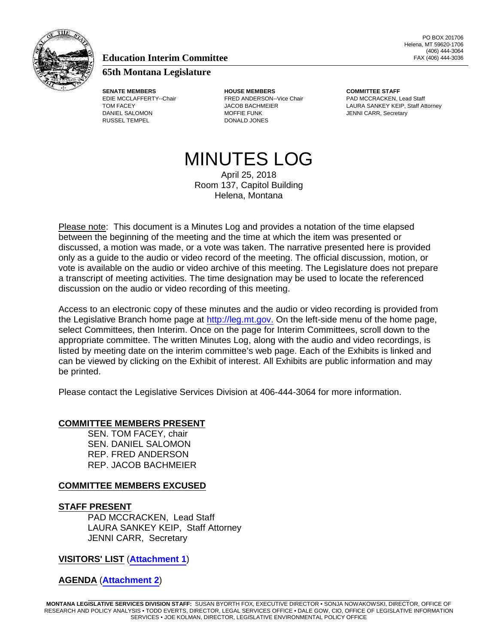

## **Education Interim Committee**

## **65th Montana Legislature**

RUSSEL TEMPEL DONALD JONES

**SENATE MEMBERS HOUSE MEMBERS COMMITTEE STAFF** EDIE MCCLAFFERTY--Chair FRED ANDERSON--Vice Chair PAD MCCRACKEN, Lead Staff DANIEL SALOMON **MOFFIE FUNK** MOFFIE FUNK JENNI CARR, Secretary

TOM FACEY **EXAMPLE ATTACH ATTACH ATTACHMETER LAURA SANKEY KEIP**, Staff Attorney

# MINUTES LOG

April 25, 2018 Room 137, Capitol Building Helena, Montana

Please note: This document is a Minutes Log and provides a notation of the time elapsed between the beginning of the meeting and the time at which the item was presented or discussed, a motion was made, or a vote was taken. The narrative presented here is provided only as a guide to the audio or video record of the meeting. The official discussion, motion, or vote is available on the audio or video archive of this meeting. The Legislature does not prepare a transcript of meeting activities. The time designation may be used to locate the referenced discussion on the audio or video recording of this meeting.

Access to an electronic copy of these minutes and the audio or video recording is provided from the Legislative Branch home page at<http://leg.mt.gov.> On the left-side menu of the home page, select Committees, then Interim. Once on the page for Interim Committees, scroll down to the appropriate committee. The written Minutes Log, along with the audio and video recordings, is listed by meeting date on the interim committee's web page. Each of the Exhibits is linked and can be viewed by clicking on the Exhibit of interest. All Exhibits are public information and may be printed.

Please contact the Legislative Services Division at 406-444-3064 for more information.

### **COMMITTEE MEMBERS PRESENT**

SEN. TOM FACEY, chair SEN. DANIEL SALOMON REP. FRED ANDERSON REP. JACOB BACHMEIER

### **COMMITTEE MEMBERS EXCUSED**

#### **STAFF PRESENT**

PAD MCCRACKEN, Lead Staff LAURA SANKEY KEIP, Staff Attorney JENNI CARR, Secretary

### **VISITORS' LIST** (**[Attachment 1](http://leg.mt.gov/content/Committees/Interim/2017-2018/Education/Committee-Topics/Financial-Aid/EDICsub-Apr25-2018-At1.pdf)**)

**AGENDA** (**[Attachment 2](http://leg.mt.gov/content/Committees/Interim/2017-2018/Education/Committee-Topics/Financial-Aid/Subcommittee April draft agenda.pdf)**)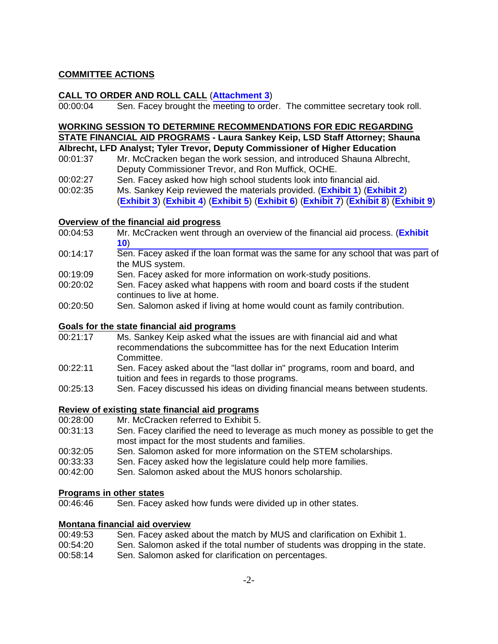### **COMMITTEE ACTIONS**

#### **CALL TO ORDER AND ROLL CALL** (**[Attachment 3](http://leg.mt.gov/content/Committees/Interim/2017-2018/Education/Committee-Topics/Financial-Aid/EDICsub-Apr25-2018-At3.pdf)**)

00:00:04 Sen. Facey brought the meeting to order. The committee secretary took roll.

## **WORKING SESSION TO DETERMINE RECOMMENDATIONS FOR EDIC REGARDING**

## **STATE FINANCIAL AID PROGRAMS - Laura Sankey Keip, LSD Staff Attorney; Shauna**

## **Albrecht, LFD Analyst; Tyler Trevor, Deputy Commissioner of Higher Education**

- 00:01:37 Mr. McCracken began the work session, and introduced Shauna Albrecht, Deputy Commissioner Trevor, and Ron Muffick, OCHE.
- 00:02:27 Sen. Facey asked how high school students look into financial aid.
- 00:02:35 Ms. Sankey Keip reviewed the materials provided. (**[Exhibit 1](http://leg.mt.gov/content/Committees/Interim/2017-2018/Education/Meetings/Mar-2018/Financial Aid Overview.pdf)**) (**[Exhibit 2](http://leg.mt.gov/content/Committees/Interim/2017-2018/Education/Committee-Topics/Financial-Aid/MUSSPG.pdf)**) (**[Exhibit 3](http://leg.mt.gov/content/Committees/Interim/2017-2018/Education/Committee-Topics/Financial-Aid/5_Goal_1_Financial_Aid_2017.pdf)**) (**[Exhibit 4](http://leg.mt.gov/content/Committees/Interim/2017-2018/Education/Committee-Topics/Financial-Aid/6_Goal_1_Affordability_2017.pdf)**) (**[Exhibit 5](http://leg.mt.gov/content/Committees/Interim/2017-2018/Education/Meetings/Mar-2018/State-financial-aid-programs-UG-QELAP.pdf)**) (**[Exhibit 6](http://leg.mt.gov/content/Committees/Interim/2017-2018/Education/Committee-Topics/Financial-Aid/Fin-aid-info-EDIC-Nov-2017.pdf)**) (**[Exhibit 7](http://leg.mt.gov/content/Committees/Interim/2017-2018/Education/Committee-Topics/Financial-Aid/Pgm-2-funding-history.pdf)**) (**[Exhibit 8](http://leg.mt.gov/content/Committees/Interim/2017-2018/Education/Committee-Topics/Financial-Aid/FinAid Statutes  Linked BOR Policies.pdf)**) (**[Exhibit 9](http://leg.mt.gov/content/Committees/Interim/2017-2018/Education/Meetings/Mar-2018/FinAid Decision Tree.pdf)**)

#### **Overview of the financial aid progress**

- 00:04:53 [Mr. McCracken went through an overview of the financial aid process. \(](http://leg.mt.gov/content/Committees/Interim/2017-2018/Education/Committee-Topics/Financial-Aid/EDICsub-Apr25-2018-Ex10.pdf)**Exhibit 10**)
- 00:14:17 Sen. Facey asked if the loan format was the same for any school that was part of the MUS system.
- 00:19:09 Sen. Facey asked for more information on work-study positions.
- 00:20:02 Sen. Facey asked what happens with room and board costs if the student continues to live at home.
- 00:20:50 Sen. Salomon asked if living at home would count as family contribution.

#### **Goals for the state financial aid programs**

- 00:21:17 Ms. Sankey Keip asked what the issues are with financial aid and what recommendations the subcommittee has for the next Education Interim Committee.
- 00:22:11 Sen. Facey asked about the "last dollar in" programs, room and board, and tuition and fees in regards to those programs.
- 00:25:13 Sen. Facey discussed his ideas on dividing financial means between students.

### **Review of existing state financial aid programs**

- 00:28:00 Mr. McCracken referred to Exhibit 5.
- 00:31:13 Sen. Facey clarified the need to leverage as much money as possible to get the most impact for the most students and families.
- 00:32:05 Sen. Salomon asked for more information on the STEM scholarships.
- 00:33:33 Sen. Facey asked how the legislature could help more families.
- 00:42:00 Sen. Salomon asked about the MUS honors scholarship.

## **Programs in other states**<br>00:46:46 Sen. Facey

Sen. Facey asked how funds were divided up in other states.

#### **Montana financial aid overview**

| 00:49:53 | Sen. Facey asked about the match by MUS and clarification on Exhibit 1.       |
|----------|-------------------------------------------------------------------------------|
| 00:54:20 | Sen. Salomon asked if the total number of students was dropping in the state. |
| 00:58:14 | Sen. Salomon asked for clarification on percentages.                          |